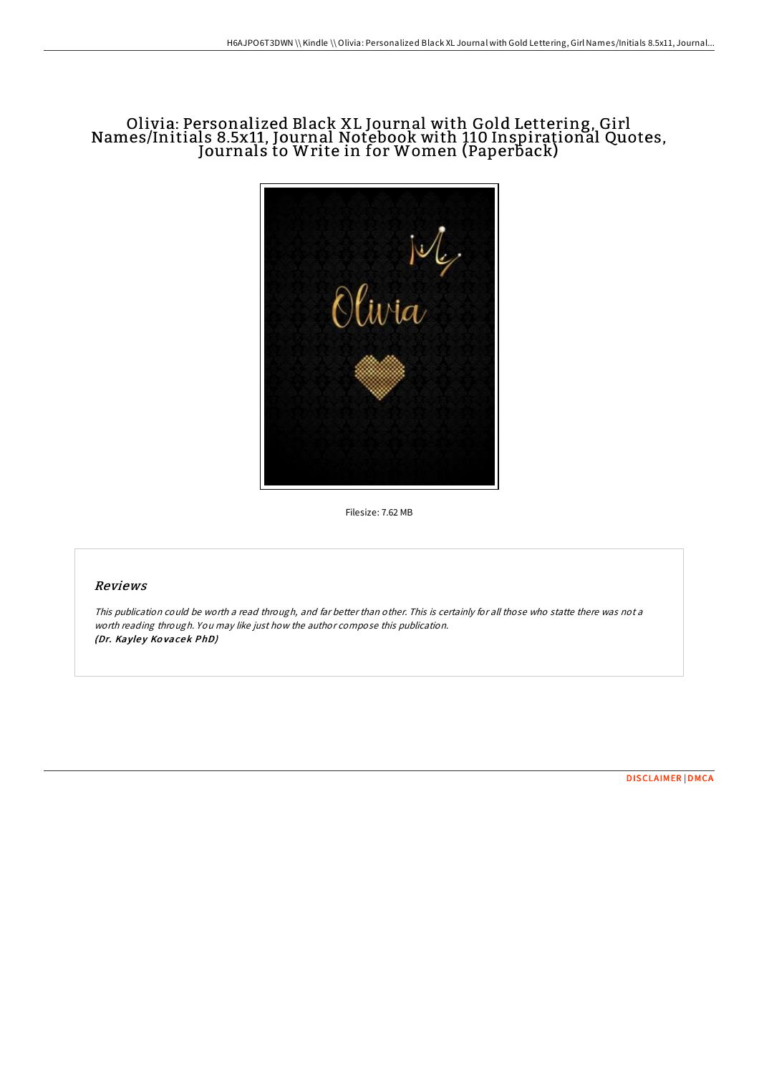## Olivia: Personalized Black XL Journal with Gold Lettering, Girl Names/Initials 8.5x11, Journal Notebook with 110 Inspirational Quotes, Journals to Write in for Women (Paperback)



Filesize: 7.62 MB

## Reviews

This publication could be worth <sup>a</sup> read through, and far better than other. This is certainly for all those who statte there was not <sup>a</sup> worth reading through. You may like just how the author compose this publication. (Dr. Kayley Kovacek PhD)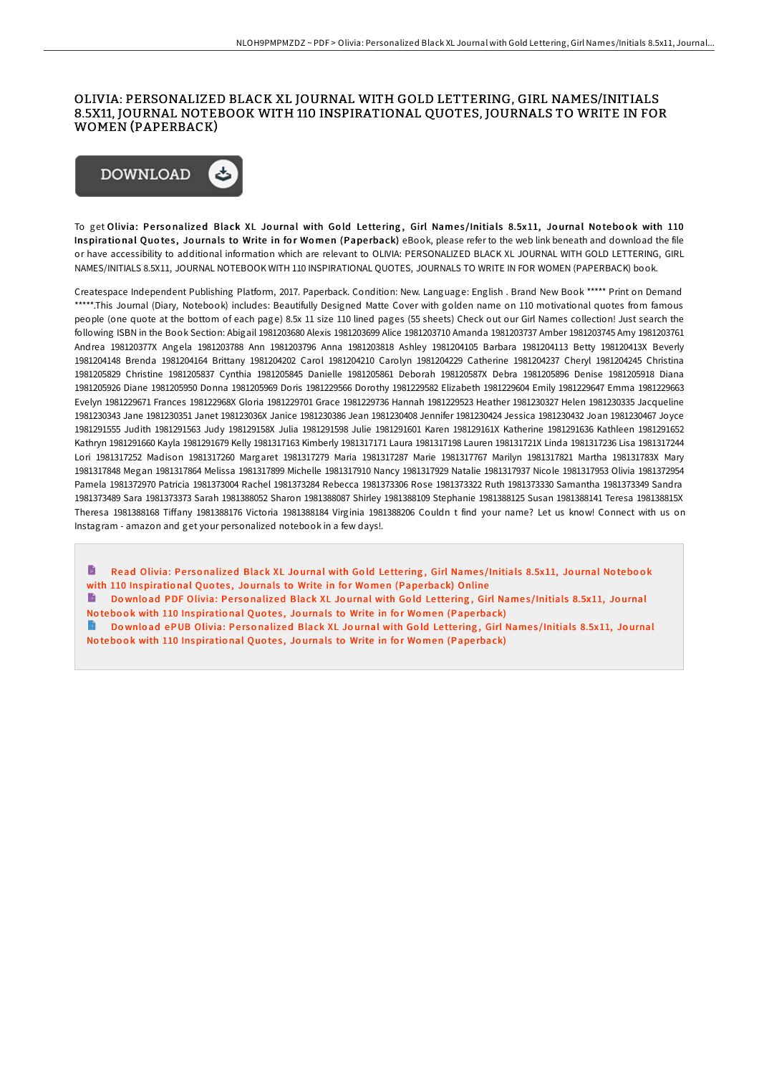## OLIVIA: PERSONALIZED BLACK XL JOURNAL WITH GOLD LETTERING, GIRL NAMES/INITIALS 8.5X11, JOURNAL NOTEBOOK WITH 110 INSPIRATIONAL QUOTES, JOURNALS TO WRITE IN FOR WOMEN (PAPERBACK)



To get Olivia: Personalized Black XL Journal with Gold Lettering, Girl Names/Initials 8.5x11, Journal Notebook with 110 Inspirational Quotes, Journals to Write in for Women (Paperback) eBook, please refer to the web link beneath and download the file or have accessibility to additional information which are relevant to OLIVIA: PERSONALIZED BLACK XL JOURNAL WITH GOLD LETTERING, GIRL NAMES/INITIALS 8.5X11, JOURNAL NOTEBOOK WITH 110 INSPIRATIONAL QUOTES, JOURNALS TO WRITE IN FOR WOMEN (PAPERBACK) book.

Createspace Independent Publishing Platform, 2017. Paperback. Condition: New. Language: English . Brand New Book \*\*\*\*\* Print on Demand \*\*\*\*\*.This Journal (Diary, Notebook) includes: Beautifully Designed Matte Cover with golden name on 110 motivational quotes from famous people (one quote at the bottom of each page) 8.5x 11 size 110 lined pages (55 sheets) Check out our Girl Names collection! Just search the following ISBN in the Book Section: Abigail 1981203680 Alexis 1981203699 Alice 1981203710 Amanda 1981203737 Amber 1981203745 Amy 1981203761 Andrea 198120377X Angela 1981203788 Ann 1981203796 Anna 1981203818 Ashley 1981204105 Barbara 1981204113 Betty 198120413X Beverly 1981204148 Brenda 1981204164 Brittany 1981204202 Carol 1981204210 Carolyn 1981204229 Catherine 1981204237 Cheryl 1981204245 Christina 1981205829 Christine 1981205837 Cynthia 1981205845 Danielle 1981205861 Deborah 198120587X Debra 1981205896 Denise 1981205918 Diana 1981205926 Diane 1981205950 Donna 1981205969 Doris 1981229566 Dorothy 1981229582 Elizabeth 1981229604 Emily 1981229647 Emma 1981229663 Evelyn 1981229671 Frances 198122968X Gloria 1981229701 Grace 1981229736 Hannah 1981229523 Heather 1981230327 Helen 1981230335 Jacqueline 1981230343 Jane 1981230351 Janet 198123036X Janice 1981230386 Jean 1981230408 Jennifer 1981230424 Jessica 1981230432 Joan 1981230467 Joyce 1981291555 Judith 1981291563 Judy 198129158X Julia 1981291598 Julie 1981291601 Karen 198129161X Katherine 1981291636 Kathleen 1981291652 Kathryn 1981291660 Kayla 1981291679 Kelly 1981317163 Kimberly 1981317171 Laura 1981317198 Lauren 198131721X Linda 1981317236 Lisa 1981317244 Lori 1981317252 Madison 1981317260 Margaret 1981317279 Maria 1981317287 Marie 1981317767 Marilyn 1981317821 Martha 198131783X Mary 1981317848 Megan 1981317864 Melissa 1981317899 Michelle 1981317910 Nancy 1981317929 Natalie 1981317937 Nicole 1981317953 Olivia 1981372954 Pamela 1981372970 Patricia 1981373004 Rachel 1981373284 Rebecca 1981373306 Rose 1981373322 Ruth 1981373330 Samantha 1981373349 Sandra 1981373489 Sara 1981373373 Sarah 1981388052 Sharon 1981388087 Shirley 1981388109 Stephanie 1981388125 Susan 1981388141 Teresa 198138815X Theresa 1981388168 Tiffany 1981388176 Victoria 1981388184 Virginia 1981388206 Couldn t find your name? Let us know! Connect with us on Instagram - amazon and get your personalized notebook in a few days!.

Read Olivia: Personalized Black XL Journal with Gold Lettering, Girl Names/Initials 8.5x11, Journal Notebook with 110 [Inspiratio](http://almighty24.tech/olivia-personalized-black-xl-journal-with-gold-l.html)nal Quotes, Journals to Write in for Women (Paperback) Online Do wnload PDF Olivia: Personalized Black XL Journal with Gold Lettering, Girl Names/Initials 8.5x11, Journal No tebook with 110 [Inspiratio](http://almighty24.tech/olivia-personalized-black-xl-journal-with-gold-l.html)nal Quotes, Journals to Write in for Women (Paperback) Do wnload ePUB Olivia: Personalized Black XL Journal with Gold Lettering, Girl Names/Initials 8.5x11, Journal No tebook with 110 [Inspiratio](http://almighty24.tech/olivia-personalized-black-xl-journal-with-gold-l.html)nal Quotes, Journals to Write in for Women (Paperback)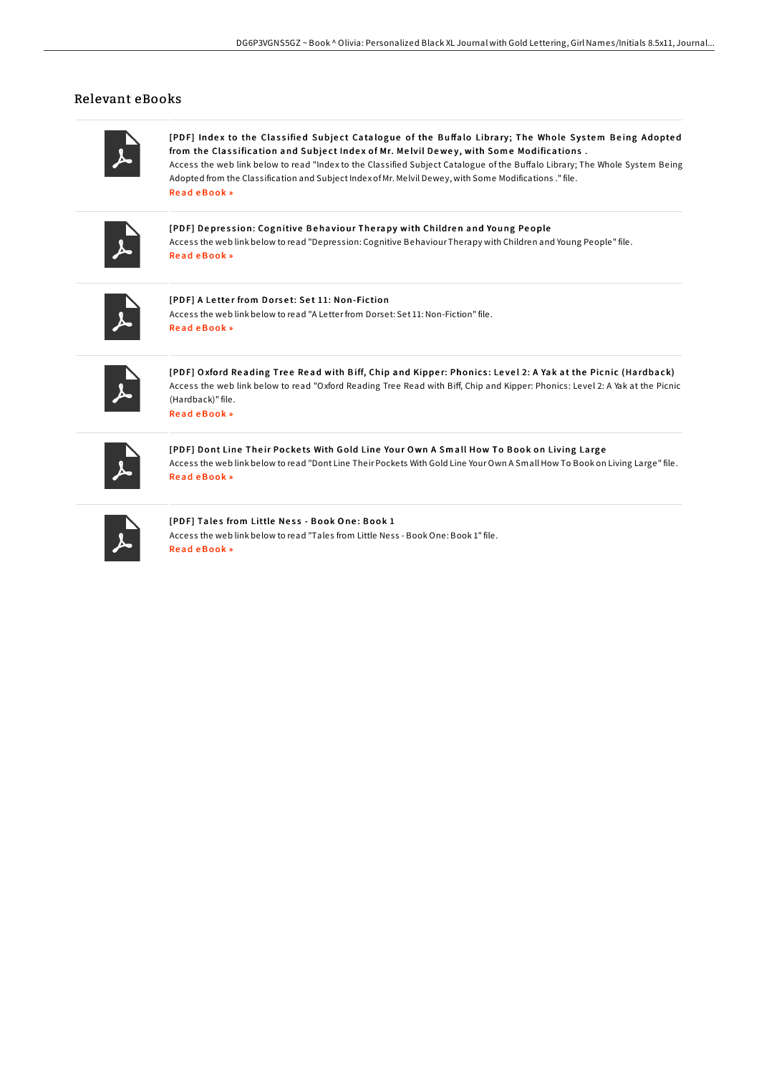## Relevant eBooks

[PDF] Index to the Classified Subject Catalogue of the Buffalo Library; The Whole System Being Adopted from the Classification and Subject Index of Mr. Melvil Dewey, with Some Modifications. Access the web link below to read "Index to the Classified Subject Catalogue of the Buffalo Library; The Whole System Being Adopted from the Classification and Subject Index of Mr. Melvil Dewey, with Some Modifications." file. Read eBook »

[PDF] Depression: Cognitive Behaviour Therapy with Children and Young People Access the web link below to read "Depression: Cognitive Behaviour Therapy with Children and Young People" file. Read eBook »

[PDF] A Letter from Dorset: Set 11: Non-Fiction Access the web link below to read "A Letter from Dorset: Set 11: Non-Fiction" file. Read eBook »

[PDF] Oxford Reading Tree Read with Biff, Chip and Kipper: Phonics: Level 2: A Yak at the Picnic (Hardback) Access the web link below to read "Oxford Reading Tree Read with Biff, Chip and Kipper: Phonics: Level 2: A Yak at the Picnic (Hardback)" file. Read eBook »

[PDF] Dont Line Their Pockets With Gold Line Your Own A Small How To Book on Living Large Access the web link below to read "Dont Line Their Pockets With Gold Line Your Own A Small How To Book on Living Large" file. ReadeBook»

[PDF] Tales from Little Ness - Book One: Book 1 Access the web link below to read "Tales from Little Ness - Book One: Book 1" file. ReadeBook»